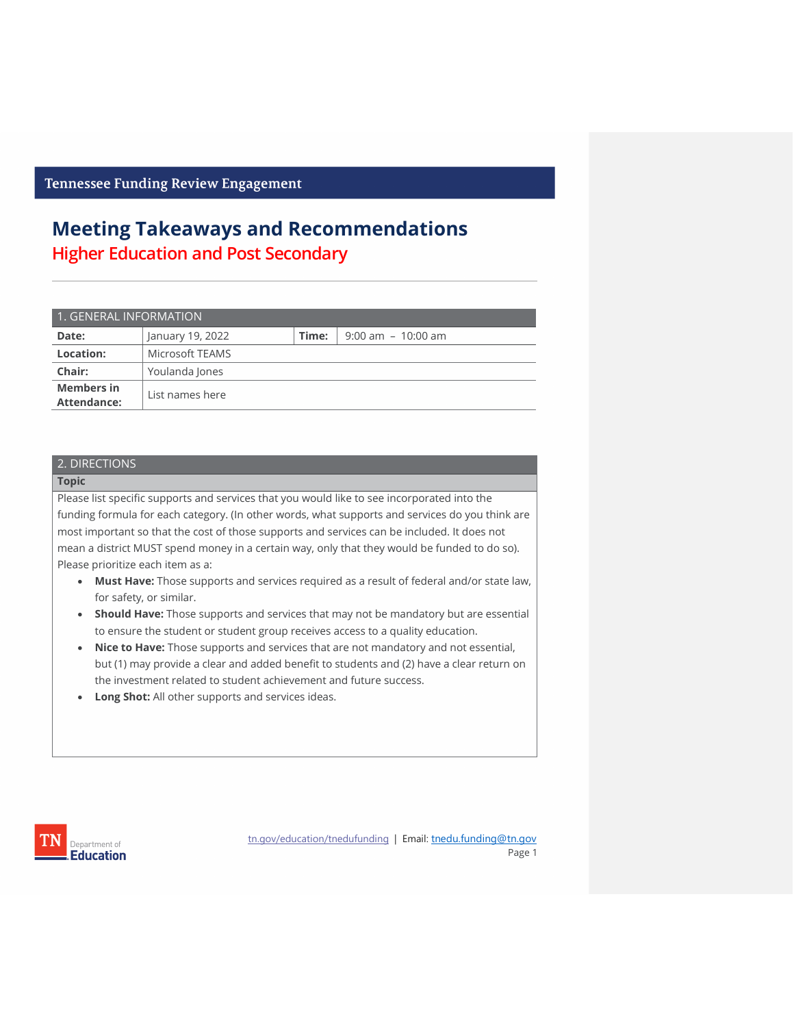## **Meeting Takeaways and Recommendations Higher Education and Post Secondary**

| 1. GENERAL INFORMATION                  |                  |       |                       |  |
|-----------------------------------------|------------------|-------|-----------------------|--|
| Date:                                   | January 19, 2022 | Time: | $9:00$ am $-10:00$ am |  |
| Location:                               | Microsoft TEAMS  |       |                       |  |
| Chair:                                  | Youlanda Jones   |       |                       |  |
| <b>Members in</b><br><b>Attendance:</b> | List names here  |       |                       |  |

### 2. DIRECTIONS

#### **Topic**

Please list specific supports and services that you would like to see incorporated into the funding formula for each category. (In other words, what supports and services do you think are most important so that the cost of those supports and services can be included. It does not mean a district MUST spend money in a certain way, only that they would be funded to do so). Please prioritize each item as a:

- **Must Have:** Those supports and services required as a result of federal and/or state law, for safety, or similar.
- **Should Have:** Those supports and services that may not be mandatory but are essential to ensure the student or student group receives access to a quality education.
- **Nice to Have:** Those supports and services that are not mandatory and not essential, but (1) may provide a clear and added benefit to students and (2) have a clear return on the investment related to student achievement and future success.
- **Long Shot:** All other supports and services ideas.



[tn.gov/education/tnedufunding](about:blank) | Email: tnedu.funding@tn.gov Page 1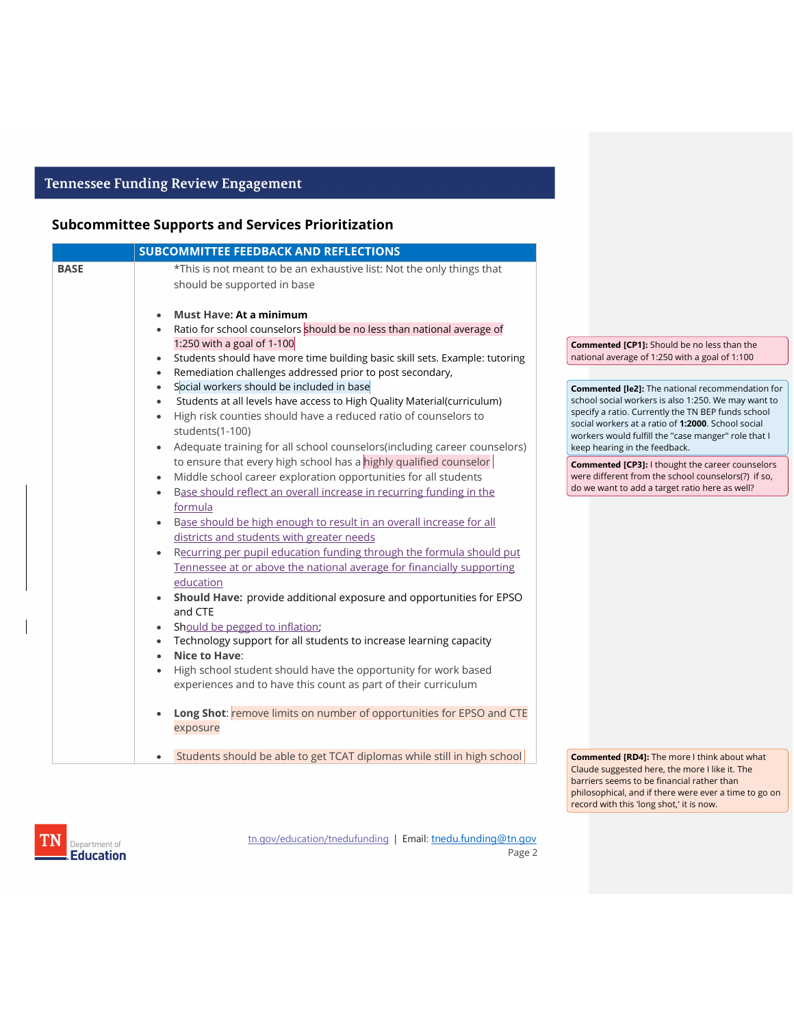### **Subcommittee Supports and Services Prioritization**

|             | <b>SUBCOMMITTEE FEEDBACK AND REFLECTIONS</b>                                             |                                                                                                          |
|-------------|------------------------------------------------------------------------------------------|----------------------------------------------------------------------------------------------------------|
| <b>BASE</b> | *This is not meant to be an exhaustive list: Not the only things that                    |                                                                                                          |
|             | should be supported in base                                                              |                                                                                                          |
|             | <b>Must Have: At a minimum</b><br>$\bullet$                                              |                                                                                                          |
|             | Ratio for school counselors should be no less than national average of<br>$\bullet$      |                                                                                                          |
|             | 1:250 with a goal of 1-100                                                               | <b>Commented [CP1]:</b> Should be no less than the                                                       |
|             | Students should have more time building basic skill sets. Example: tutoring<br>$\bullet$ | national average of 1:250 with a goal of 1:100                                                           |
|             | Remediation challenges addressed prior to post secondary,<br>$\bullet$                   |                                                                                                          |
|             | Social workers should be included in base<br>$\bullet$                                   | <b>Commented [le2]:</b> The national recommendation for                                                  |
|             | Students at all levels have access to High Quality Material(curriculum)<br>$\bullet$     | school social workers is also 1:250. We may want to                                                      |
|             | High risk counties should have a reduced ratio of counselors to<br>$\bullet$             | specify a ratio. Currently the TN BEP funds school<br>social workers at a ratio of 1:2000. School social |
|             | students(1-100)                                                                          | workers would fulfill the "case manger" role that I                                                      |
|             | Adequate training for all school counselors(including career counselors)<br>$\bullet$    | keep hearing in the feedback.                                                                            |
|             | to ensure that every high school has a highly qualified counselor                        | <b>Commented [CP3]: I thought the career counselors</b>                                                  |
|             | Middle school career exploration opportunities for all students<br>$\bullet$             | were different from the school counselors(?) if so,                                                      |
|             | Base should reflect an overall increase in recurring funding in the<br>$\bullet$         | do we want to add a target ratio here as well?                                                           |
|             | formula                                                                                  |                                                                                                          |
|             | Base should be high enough to result in an overall increase for all<br>$\bullet$         |                                                                                                          |
|             | districts and students with greater needs                                                |                                                                                                          |
|             | Recurring per pupil education funding through the formula should put<br>$\bullet$        |                                                                                                          |
|             |                                                                                          |                                                                                                          |
|             | Tennessee at or above the national average for financially supporting                    |                                                                                                          |
|             | education                                                                                |                                                                                                          |
|             | Should Have: provide additional exposure and opportunities for EPSO<br>$\bullet$         |                                                                                                          |
|             | and CTE                                                                                  |                                                                                                          |
|             | Should be pegged to inflation;<br>$\bullet$                                              |                                                                                                          |
|             | Technology support for all students to increase learning capacity<br>$\bullet$           |                                                                                                          |
|             | Nice to Have:<br>$\bullet$                                                               |                                                                                                          |
|             | High school student should have the opportunity for work based<br>$\bullet$              |                                                                                                          |
|             | experiences and to have this count as part of their curriculum                           |                                                                                                          |
|             | Long Shot: remove limits on number of opportunities for EPSO and CTE<br>$\bullet$        |                                                                                                          |
|             | exposure                                                                                 |                                                                                                          |
|             | Students should be able to get TCAT diplomas while still in high school<br>$\bullet$     | <b>Commented [RD4]:</b> The more I think about what                                                      |

Claude suggested here, the more I like it. The barriers seems to be financial rather than philosophical, and if there were ever a time to go on record with this 'long shot,' it is now.



[tn.gov/education/tnedufunding](about:blank) | Email: tnedu.funding@tn.gov Page 2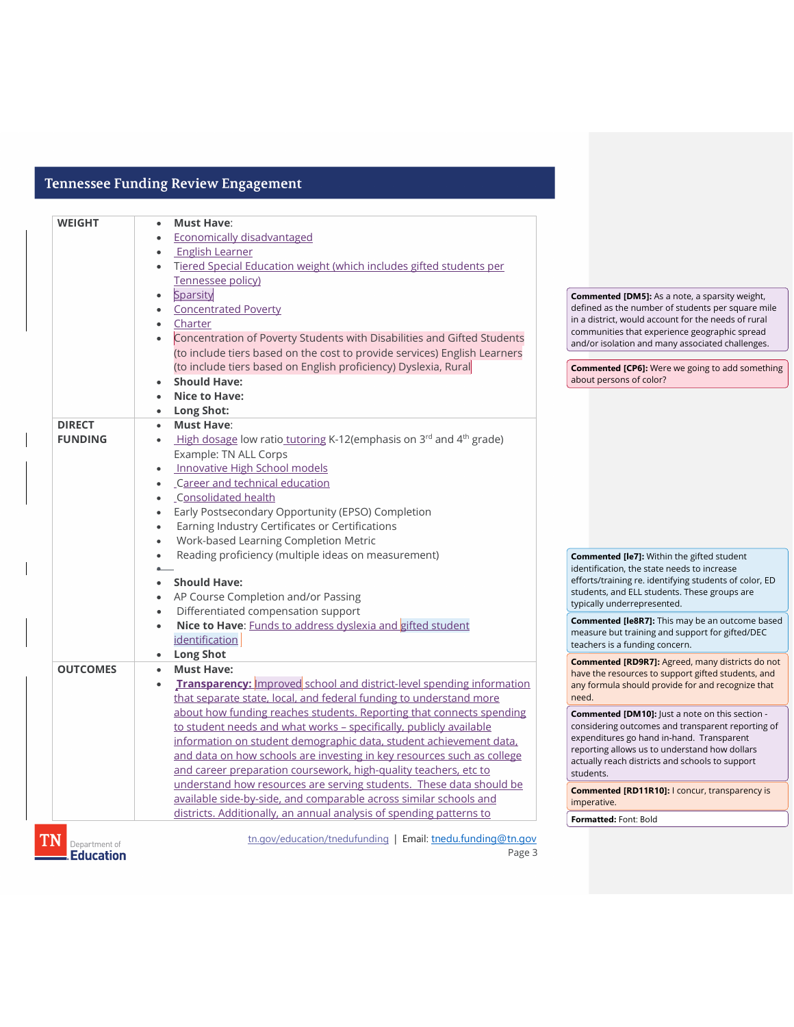| <b>WEIGHT</b>   | <b>Must Have:</b>                                                              |                                                                                                               |
|-----------------|--------------------------------------------------------------------------------|---------------------------------------------------------------------------------------------------------------|
|                 | <b>Economically disadvantaged</b>                                              |                                                                                                               |
|                 | <b>English Learner</b>                                                         |                                                                                                               |
|                 | Tiered Special Education weight (which includes gifted students per            |                                                                                                               |
|                 | Tennessee policy)                                                              |                                                                                                               |
|                 | Sparsity                                                                       | <b>Commented [DM5]:</b> As a note, a sparsity weight,                                                         |
|                 | <b>Concentrated Poverty</b>                                                    | defined as the number of students per square mile                                                             |
|                 | Charter                                                                        | in a district, would account for the needs of rural                                                           |
|                 | Concentration of Poverty Students with Disabilities and Gifted Students        | communities that experience geographic spread<br>and/or isolation and many associated challenges.             |
|                 | (to include tiers based on the cost to provide services) English Learners      |                                                                                                               |
|                 | (to include tiers based on English proficiency) Dyslexia, Rural                | <b>Commented [CP6]:</b> Were we going to add something                                                        |
|                 | <b>Should Have:</b>                                                            | about persons of color?                                                                                       |
|                 | <b>Nice to Have:</b>                                                           |                                                                                                               |
|                 | Long Shot:                                                                     |                                                                                                               |
| <b>DIRECT</b>   | <b>Must Have:</b><br>$\bullet$                                                 |                                                                                                               |
| <b>FUNDING</b>  | High dosage low ratio tutoring K-12(emphasis on 3rd and 4 <sup>th</sup> grade) |                                                                                                               |
|                 | Example: TN ALL Corps                                                          |                                                                                                               |
|                 | <b>Innovative High School models</b>                                           |                                                                                                               |
|                 | Career and technical education                                                 |                                                                                                               |
|                 | Consolidated health                                                            |                                                                                                               |
|                 | Early Postsecondary Opportunity (EPSO) Completion                              |                                                                                                               |
|                 | Earning Industry Certificates or Certifications                                |                                                                                                               |
|                 | Work-based Learning Completion Metric                                          |                                                                                                               |
|                 | Reading proficiency (multiple ideas on measurement)                            | <b>Commented [le7]:</b> Within the gifted student                                                             |
|                 |                                                                                | identification, the state needs to increase                                                                   |
|                 | <b>Should Have:</b>                                                            | efforts/training re. identifying students of color, ED                                                        |
|                 | AP Course Completion and/or Passing                                            | students, and ELL students. These groups are                                                                  |
|                 | Differentiated compensation support                                            | typically underrepresented.                                                                                   |
|                 | Nice to Have: <b>Funds to address dyslexia and gifted student</b>              | <b>Commented [le8R7]:</b> This may be an outcome based                                                        |
|                 | identification                                                                 | measure but training and support for gifted/DEC<br>teachers is a funding concern.                             |
|                 | <b>Long Shot</b>                                                               |                                                                                                               |
| <b>OUTCOMES</b> | <b>Must Have:</b>                                                              | <b>Commented [RD9R7]:</b> Agreed, many districts do not<br>have the resources to support gifted students, and |
|                 | Transparency: Improved school and district-level spending information          | any formula should provide for and recognize that                                                             |
|                 | that separate state, local, and federal funding to understand more             | need.                                                                                                         |
|                 | about how funding reaches students. Reporting that connects spending           | <b>Commented [DM10]:</b> Just a note on this section -                                                        |
|                 | to student needs and what works - specifically, publicly available             | considering outcomes and transparent reporting of                                                             |
|                 | information on student demographic data, student achievement data,             | expenditures go hand in-hand. Transparent                                                                     |
|                 | and data on how schools are investing in key resources such as college         | reporting allows us to understand how dollars                                                                 |
|                 | and career preparation coursework, high-quality teachers, etc to               | actually reach districts and schools to support<br>students.                                                  |
|                 | understand how resources are serving students. These data should be            |                                                                                                               |
|                 | available side-by-side, and comparable across similar schools and              | <b>Commented [RD11R10]: I concur, transparency is</b><br>imperative.                                          |
|                 | districts. Additionally, an annual analysis of spending patterns to            |                                                                                                               |
|                 |                                                                                | Formatted: Font: Bold                                                                                         |

Department of

[tn.gov/education/tnedufunding](about:blank) | Email: tnedu.funding@tn.gov

Page 3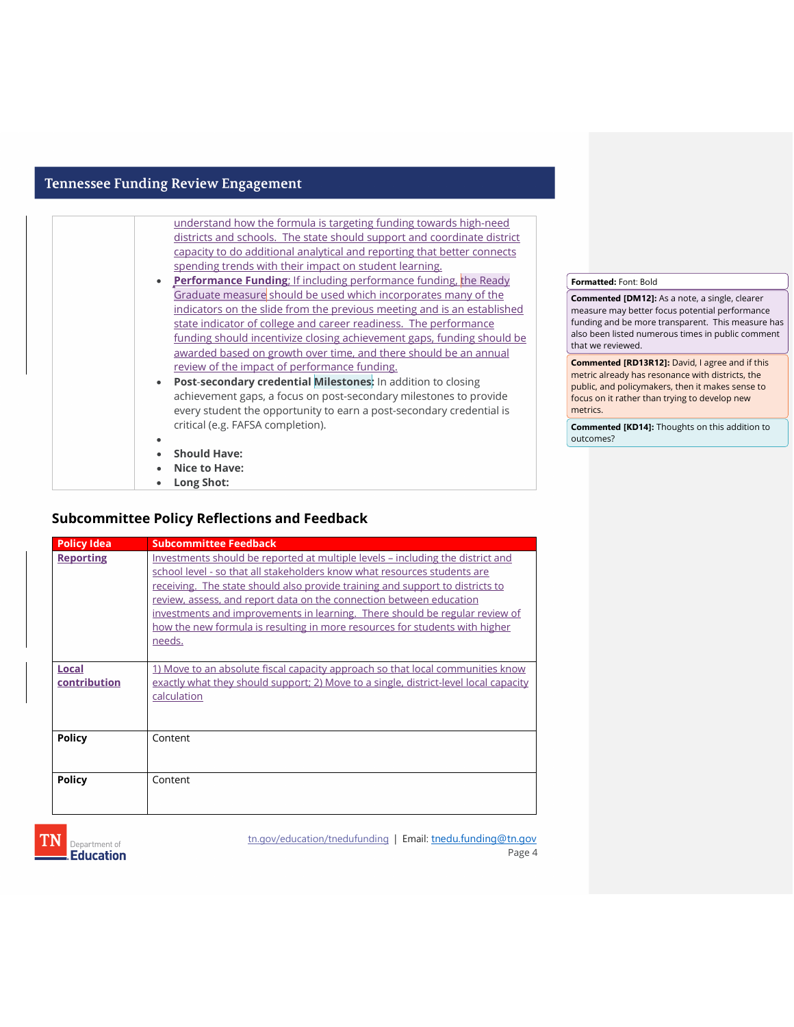| understand how the formula is targeting funding towards high-need       |
|-------------------------------------------------------------------------|
| districts and schools. The state should support and coordinate district |
| capacity to do additional analytical and reporting that better connects |
| spending trends with their impact on student learning.                  |
| • Performance Funding; If including performance funding, the Ready      |
| Graduate measure should be used which incorporates many of the          |
| indicators on the slide from the previous meeting and is an established |
| state indicator of college and career readiness. The performance        |
| funding should incentivize closing achievement gaps, funding should be  |
| awarded based on growth over time, and there should be an annual        |
| review of the impact of performance funding.                            |
| Post-secondary credential Milestones: In addition to closing            |
| achievement gaps, a focus on post-secondary milestones to provide       |
| every student the opportunity to earn a post-secondary credential is    |
| critical (e.g. FAFSA completion).                                       |
|                                                                         |
| <b>Should Have:</b>                                                     |
| Nice to Have:                                                           |
| Long Shot:                                                              |

• **Long Shot:**

### **Subcommittee Policy Reflections and Feedback**

| <b>Policy Idea</b>    | <b>Subcommittee Feedback</b>                                                                                                                                                                                                                                                                                                                                                                                                                                                               |
|-----------------------|--------------------------------------------------------------------------------------------------------------------------------------------------------------------------------------------------------------------------------------------------------------------------------------------------------------------------------------------------------------------------------------------------------------------------------------------------------------------------------------------|
| <b>Reporting</b>      | Investments should be reported at multiple levels – including the district and<br>school level - so that all stakeholders know what resources students are<br>receiving. The state should also provide training and support to districts to<br>review, assess, and report data on the connection between education<br>investments and improvements in learning. There should be regular review of<br>how the new formula is resulting in more resources for students with higher<br>needs. |
| Local<br>contribution | 1) Move to an absolute fiscal capacity approach so that local communities know<br>exactly what they should support; 2) Move to a single, district-level local capacity<br>calculation                                                                                                                                                                                                                                                                                                      |
| <b>Policy</b>         | Content                                                                                                                                                                                                                                                                                                                                                                                                                                                                                    |
| <b>Policy</b>         | Content                                                                                                                                                                                                                                                                                                                                                                                                                                                                                    |



[tn.gov/education/tnedufunding](about:blank) | Email: tnedu.funding@tn.gov Page 4

#### **Formatted:** Font: Bold

**Commented [DM12]:** As a note, a single, clearer measure may better focus potential performance funding and be more transparent. This measure has also been listed numerous times in public comment that we reviewed.

**Commented [RD13R12]:** David, I agree and if this metric already has resonance with districts, the public, and policymakers, then it makes sense to focus on it rather than trying to develop new metrics.

**Commented [KD14]:** Thoughts on this addition to outcomes?